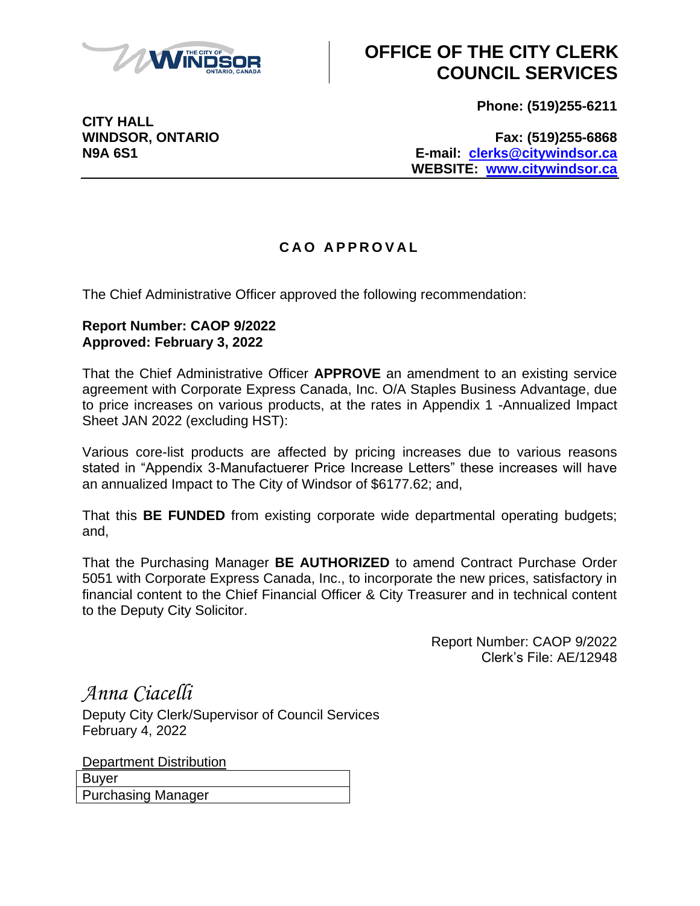

## **OFFICE OF THE CITY CLERK COUNCIL SERVICES**

**Phone: (519)255-6211**

**CITY HALL**

**WINDSOR, ONTARIO Fax: (519)255-6868 N9A 6S1 E-mail: [clerks@citywindsor.ca](mailto:clerks@citywindsor.ca) WEBSITE: [www.citywindsor.ca](http://www.citywindsor.ca/)**

## **C A O A P P R O V A L**

The Chief Administrative Officer approved the following recommendation:

## **Report Number: CAOP 9/2022 Approved: February 3, 2022**

That the Chief Administrative Officer **APPROVE** an amendment to an existing service agreement with Corporate Express Canada, Inc. O/A Staples Business Advantage, due to price increases on various products, at the rates in Appendix 1 -Annualized Impact Sheet JAN 2022 (excluding HST):

Various core-list products are affected by pricing increases due to various reasons stated in "Appendix 3-Manufactuerer Price Increase Letters" these increases will have an annualized Impact to The City of Windsor of \$6177.62; and,

That this **BE FUNDED** from existing corporate wide departmental operating budgets; and,

That the Purchasing Manager **BE AUTHORIZED** to amend Contract Purchase Order 5051 with Corporate Express Canada, Inc., to incorporate the new prices, satisfactory in financial content to the Chief Financial Officer & City Treasurer and in technical content to the Deputy City Solicitor.

> Report Number: CAOP 9/2022 Clerk's File: AE/12948

*Anna Ciacelli*

Deputy City Clerk/Supervisor of Council Services February 4, 2022

Department Distribution Buyer Purchasing Manager